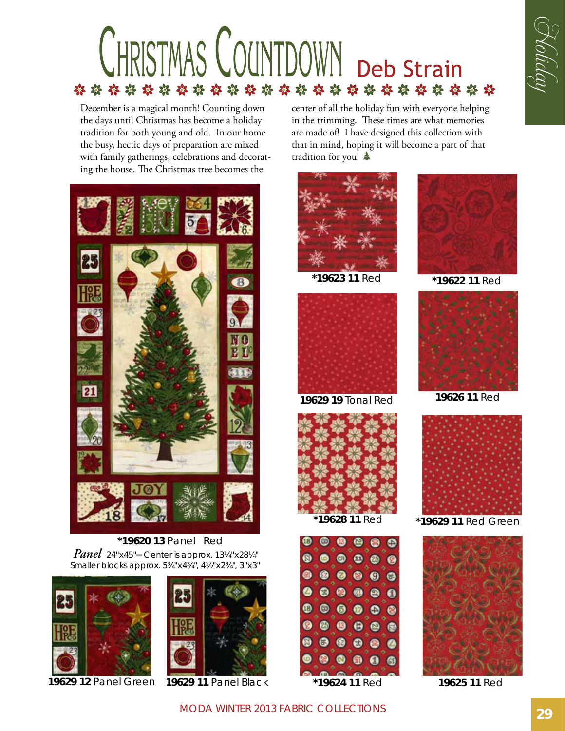

December is a magical month! Counting down the days until Christmas has become a holiday tradition for both young and old. In our home the busy, hectic days of preparation are mixed with family gatherings, celebrations and decorating the house. The Christmas tree becomes the



**\*19620 13** Panel Red *Panel* 24"x45"*–* Center is approx. 13¼"x28¼" Smaller blocks approx. 5¾"x4¾", 4½"x2¾", 3"x3"



**19629 12** Panel Green



center of all the holiday fun with everyone helping in the trimming. These times are what memories are made of! I have designed this collection with that in mind, hoping it will become a part of that tradition for you!  $\triangleq$ 



**\*19623 11** Red **\*19622 11** Red



**19629 19** Tonal Red



 $\begin{array}{cccccccccccccc} \circ & \circ & \circ & \circ & \circ \end{array}$  $\begin{array}{ccccccccccccccccc} \bullet & \circ & \circ & \circ & \circ & \circ & \circ \end{array}$ .....  $\begin{array}{cccccccccccccc} \bullet & \bullet & \bullet & \bullet & \bullet & \bullet & \bullet \end{array}$  $\begin{array}{lll} \circ & \circ & \circ \circ \end{array}$  $\begin{array}{ccccc} \circ & \circ & \circ & \circ \end{array}$  $\begin{array}{ccc} \circ & \circ & \circ & \circ \end{array}$ **19629 11** Panel Black **\*19624 11** Red **19625 11** Red



G Koliday



**19626 11** Red



 **\*19628 11** Red **\*19629 11** Red Green



MODA Winter 2013 Fabric Collections **29**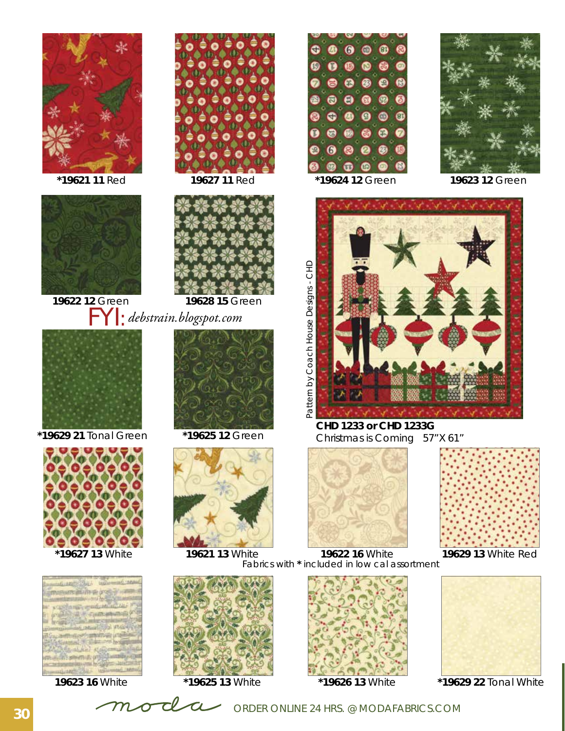



**19622 12** Green



 **\*19629 21** Tonal Green









**19628 15** Green FYI: *debstrain.blogspot.com*



**\*19625 12** Green









**CHD 1233 or CHD 1233G**  Christmas is Coming 57"X 61"





 **\*19627 13** White **19629 13** White Red **19621 13** White **19622 16** White Fabrics with **\*** included in low cal assortment





**\*19629 22** Tonal White

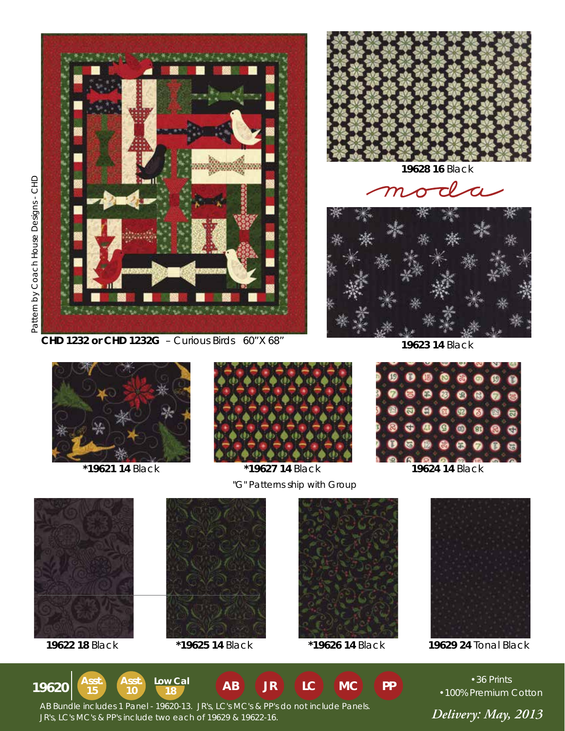Pattern by Pattern by Coach House Designs - CHD House Designs - CHD





**19628 16** Black

moda



**19623 14** Black



 **\*19621 14** Black **\*19627 14** Black **19624 14** Black



**15**

**Asst.**

**10 18**



Asst. **Asst.** Low Cal **AB** JR LC **MC** PP



"G" Patterns ship with Group

**MC**



**19622 18** Black **\*19625 14** Black **\*19626 14** Black **19629 24** Tonal Black

**19620** • <sup>36 Prints • **19620** • **Asst. Asst. Low Cal AB JR LC MC PP** • **100%** Premium</sup> •100% Premium Cotton



 *Delivery: May, 2013* JR's, LC's MC's & PP's include two each of 19629 & 19622-16. AB Bundle includes 1 Panel - 19620-13. JR's, LC's MC's & PP's do not include Panels.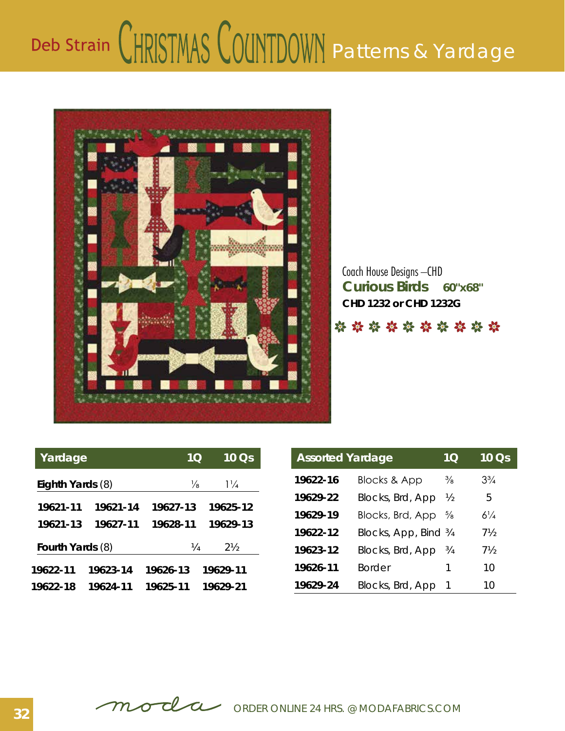## Deb Strain CHRISTMAS COUNTDOWN Patterns & Yardage



**Curious Birds 60"x68"** Coach House Designs –CHD **CHD 1232 or CHD 1232G**

\*\*\*\*\*\*\*\*\*

| Yardage          |          | 1Q            | $10 \text{ Os}$ | <b>Assorted Yardage</b> |                       | 1 <sub>O</sub> | 10 Qs          |
|------------------|----------|---------------|-----------------|-------------------------|-----------------------|----------------|----------------|
| Eighth Yards (8) |          | $\frac{1}{8}$ | $1\frac{1}{4}$  | 19622-16                | Blocks & App          | $\frac{3}{8}$  | $3\frac{3}{4}$ |
|                  |          |               |                 | 19629-22                | Blocks, Brd, App      | $\frac{1}{2}$  | 5              |
| 19621-11         | 19621-14 | 19627-13      | 19625-12        | 19629-19                | Blocks, Brd, App      | $\frac{5}{8}$  | $6\frac{1}{4}$ |
| 19621-13         | 19627-11 | 19628-11      | 19629-13        | 19622-12                | Blocks, App, Bind 3/4 |                | $7\frac{1}{2}$ |
| Fourth Yards (8) |          | 1⁄4           | $2\frac{1}{2}$  | 19623-12                | Blocks, Brd, App      | $\frac{3}{4}$  | $7\frac{1}{2}$ |
| 19622-11         | 19623-14 | 19626-13      | 19629-11        | 19626-11                | <b>Border</b>         |                | 10             |
| 19622-18         | 19624-11 | 19625-11      | 19629-21        | 19629-24                | Blocks, Brd, App      |                | 10             |

| <b>Assorted Yardage</b> | 10 <sub>1</sub>         | 10 Qs         |                |
|-------------------------|-------------------------|---------------|----------------|
| 19622-16                | <b>Blocks &amp; App</b> | $\frac{3}{8}$ | $3\frac{3}{4}$ |
| 19629-22                | Blocks, Brd, App        | ½             | 5              |
| 19629-19                | Blocks, Brd, App        | $\frac{5}{8}$ | $6\frac{1}{4}$ |
| 19622-12                | Blocks, App, Bind 3/4   |               | 7½             |
| 19623-12                | Blocks, Brd, App        | $\frac{3}{4}$ | 7½             |
| 19626-11                | <b>Border</b>           | 1             | 10             |
| 19629-24                | Blocks, Brd, App        |               | 10             |